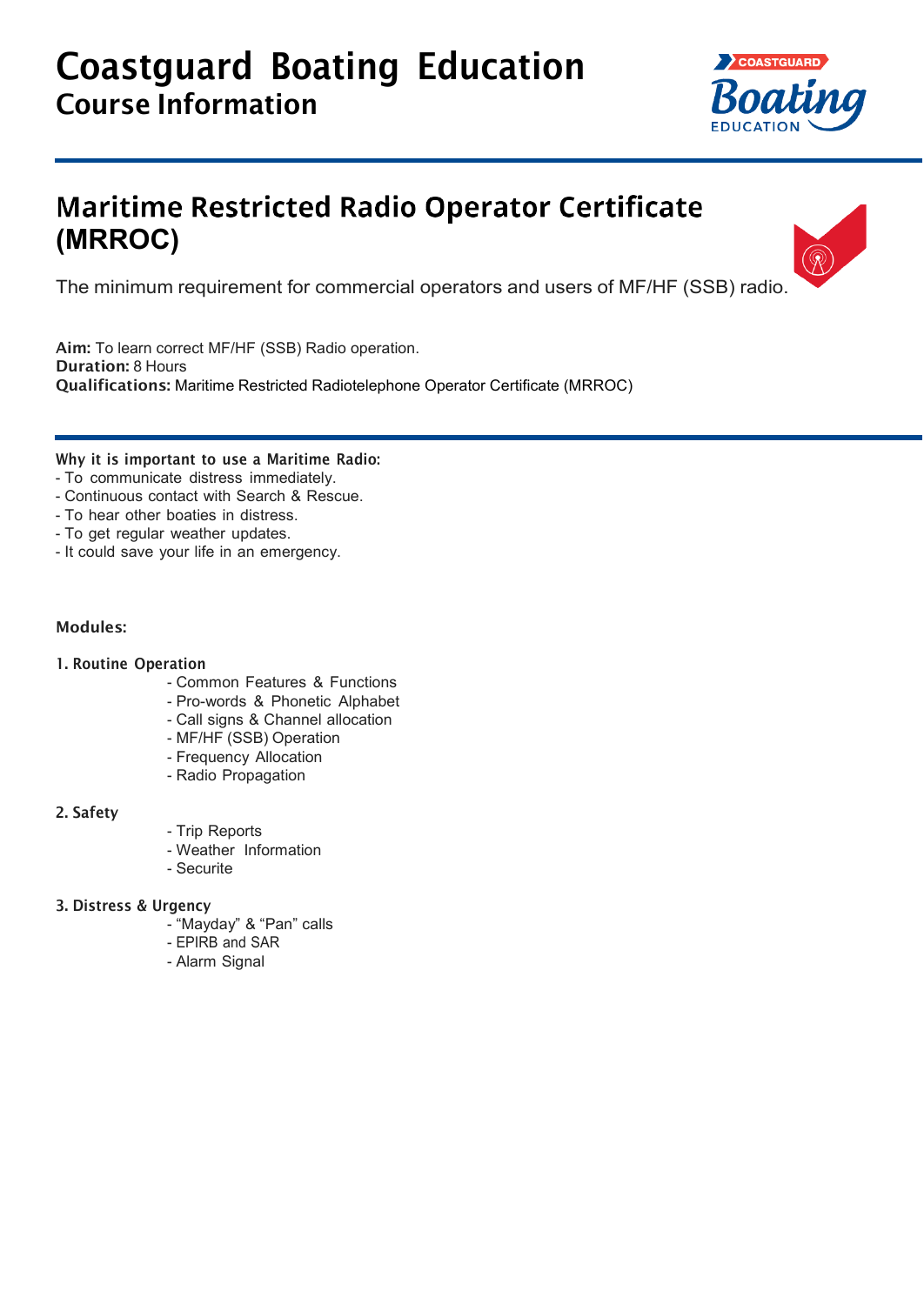# Coastguard Boating Education Course Information



 $\overline{\circledR}$ 

## **Maritime Restricted Radio Operator Certificate (MRROC)**

The minimum requirement for commercial operators and users of MF/HF (SSB) radio.

Aim: To learn correct MF/HF (SSB) Radio operation. Duration: 8 Hours Qualifications: Maritime Restricted Radiotelephone Operator Certificate (MRROC)

#### Why it is important to use a Maritime Radio:

- To communicate distress immediately.
- Continuous contact with Search & Rescue.
- To hear other boaties in distress.
- To get regular weather updates.
- It could save your life in an emergency.

#### Modules:

#### 1. Routine Operation

- Common Features & Functions
- Pro-words & Phonetic Alphabet
- Call signs & Channel allocation
- MF/HF (SSB) Operation
- Frequency Allocation
- Radio Propagation

#### 2. Safety

- Trip Reports
- Weather Information
- Securite

#### 3. Distress & Urgency

- "Mayday" & "Pan" calls
- EPIRB and SAR
- Alarm Signal